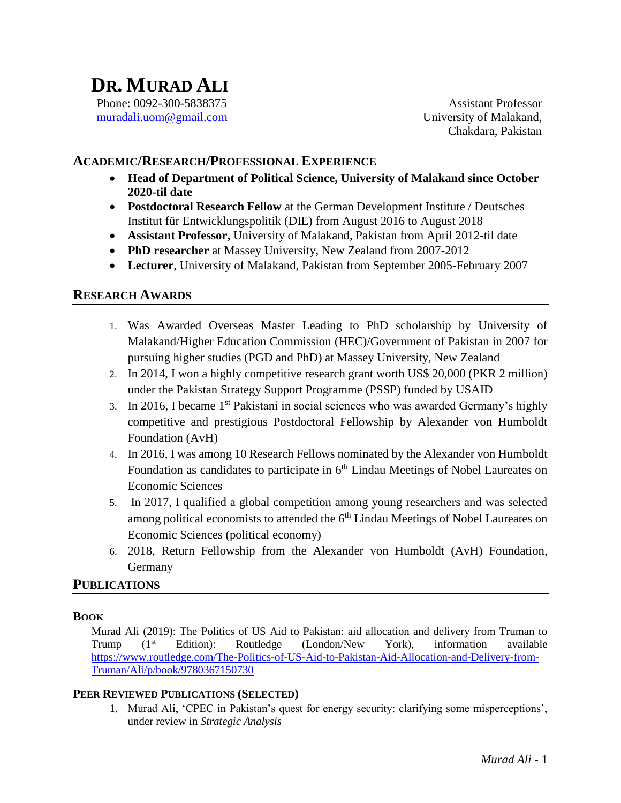# **DR. MURAD ALI** Phone: 0092-300-5838375

[muradali.uom@gmail.com](mailto:muradali.uom@gmail.com)

Assistant Professor University of Malakand, Chakdara, Pakistan

# **ACADEMIC/RESEARCH/PROFESSIONAL EXPERIENCE**

- **Head of Department of Political Science, University of Malakand since October 2020-til date**
- **Postdoctoral Research Fellow** at the German Development Institute / Deutsches Institut für Entwicklungspolitik (DIE) from August 2016 to August 2018
- **Assistant Professor,** University of Malakand, Pakistan from April 2012-til date
- **PhD researcher** at Massey University, New Zealand from 2007-2012
- **Lecturer**, University of Malakand, Pakistan from September 2005-February 2007

## **RESEARCH AWARDS**

- 1. Was Awarded Overseas Master Leading to PhD scholarship by University of Malakand/Higher Education Commission (HEC)/Government of Pakistan in 2007 for pursuing higher studies (PGD and PhD) at Massey University, New Zealand
- 2. In 2014, I won a highly competitive research grant worth US\$ 20,000 (PKR 2 million) under the Pakistan Strategy Support Programme (PSSP) funded by USAID
- 3. In 2016, I became 1st Pakistani in social sciences who was awarded Germany's highly competitive and prestigious Postdoctoral Fellowship by Alexander von Humboldt Foundation (AvH)
- 4. In 2016, I was among 10 Research Fellows nominated by the Alexander von Humboldt Foundation as candidates to participate in 6<sup>th</sup> Lindau Meetings of Nobel Laureates on Economic Sciences
- 5. In 2017, I qualified a global competition among young researchers and was selected among political economists to attended the  $6<sup>th</sup>$  Lindau Meetings of Nobel Laureates on Economic Sciences (political economy)
- 6. 2018, Return Fellowship from the Alexander von Humboldt (AvH) Foundation, Germany

### **PUBLICATIONS**

#### **BOOK**

Murad Ali (2019): The Politics of US Aid to Pakistan: aid allocation and delivery from Truman to Trump (1st Edition): Routledge (London/New York), information available [https://www.routledge.com/The-Politics-of-US-Aid-to-Pakistan-Aid-Allocation-and-Delivery-from-](https://www.routledge.com/The-Politics-of-US-Aid-to-Pakistan-Aid-Allocation-and-Delivery-from-Truman/Ali/p/book/9780367150730)[Truman/Ali/p/book/9780367150730](https://www.routledge.com/The-Politics-of-US-Aid-to-Pakistan-Aid-Allocation-and-Delivery-from-Truman/Ali/p/book/9780367150730)

#### **PEER REVIEWED PUBLICATIONS (SELECTED)**

1. Murad Ali, 'CPEC in Pakistan's quest for energy security: clarifying some misperceptions', under review in *Strategic Analysis*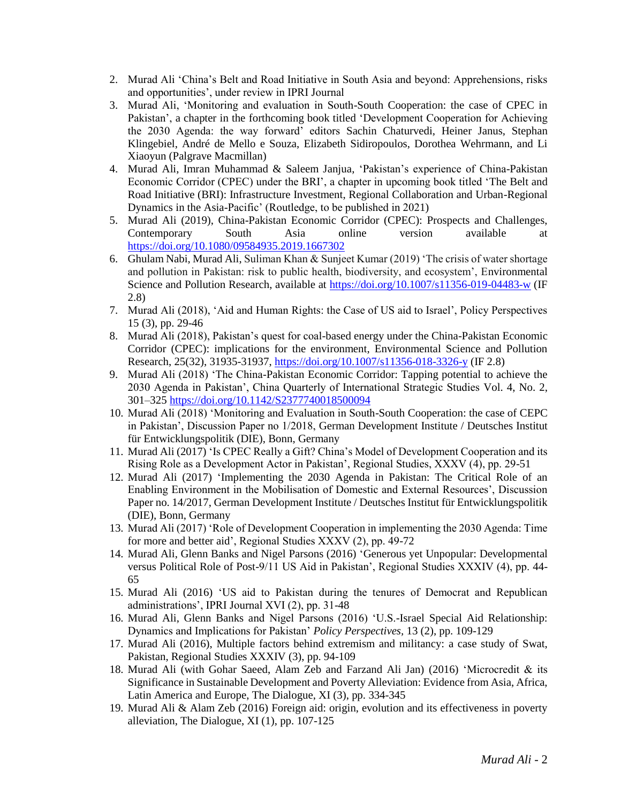- 2. Murad Ali 'China's Belt and Road Initiative in South Asia and beyond: Apprehensions, risks and opportunities', under review in IPRI Journal
- 3. Murad Ali, 'Monitoring and evaluation in South-South Cooperation: the case of CPEC in Pakistan', a chapter in the forthcoming book titled 'Development Cooperation for Achieving the 2030 Agenda: the way forward' editors Sachin Chaturvedi, Heiner Janus, Stephan Klingebiel, André de Mello e Souza, Elizabeth Sidiropoulos, Dorothea Wehrmann, and Li Xiaoyun (Palgrave Macmillan)
- 4. Murad Ali, Imran Muhammad & Saleem Janjua, 'Pakistan's experience of China-Pakistan Economic Corridor (CPEC) under the BRI', a chapter in upcoming book titled 'The Belt and Road Initiative (BRI): Infrastructure Investment, Regional Collaboration and Urban-Regional Dynamics in the Asia-Pacific' (Routledge, to be published in 2021)
- 5. Murad Ali (2019), China-Pakistan Economic Corridor (CPEC): Prospects and Challenges, Contemporary South Asia online version available at <https://doi.org/10.1080/09584935.2019.1667302>
- 6. Ghulam Nabi, Murad Ali, Suliman Khan & Sunjeet Kumar (2019) 'The crisis of water shortage and pollution in Pakistan: risk to public health, biodiversity, and ecosystem', Environmental Science and Pollution Research, available at<https://doi.org/10.1007/s11356-019-04483-w> (IF 2.8)
- 7. Murad Ali (2018), 'Aid and Human Rights: the Case of US aid to Israel', Policy Perspectives 15 (3), pp. 29-46
- 8. Murad Ali (2018), Pakistan's quest for coal-based energy under the China-Pakistan Economic Corridor (CPEC): implications for the environment, Environmental Science and Pollution Research, 25(32), 31935-31937,<https://doi.org/10.1007/s11356-018-3326-y> (IF 2.8)
- 9. Murad Ali (2018) 'The China-Pakistan Economic Corridor: Tapping potential to achieve the 2030 Agenda in Pakistan', China Quarterly of International Strategic Studies Vol. 4, No. 2, 301–325 <https://doi.org/10.1142/S2377740018500094>
- 10. Murad Ali (2018) 'Monitoring and Evaluation in South-South Cooperation: the case of CEPC in Pakistan', Discussion Paper no 1/2018, German Development Institute / Deutsches Institut für Entwicklungspolitik (DIE), Bonn, Germany
- 11. Murad Ali (2017) 'Is CPEC Really a Gift? China's Model of Development Cooperation and its Rising Role as a Development Actor in Pakistan', Regional Studies, XXXV (4), pp. 29-51
- 12. Murad Ali (2017) 'Implementing the 2030 Agenda in Pakistan: The Critical Role of an Enabling Environment in the Mobilisation of Domestic and External Resources', Discussion Paper no. 14/2017, German Development Institute / Deutsches Institut für Entwicklungspolitik (DIE), Bonn, Germany
- 13. Murad Ali (2017) 'Role of Development Cooperation in implementing the 2030 Agenda: Time for more and better aid', Regional Studies XXXV (2), pp. 49-72
- 14. Murad Ali, Glenn Banks and Nigel Parsons (2016) 'Generous yet Unpopular: Developmental versus Political Role of Post-9/11 US Aid in Pakistan', Regional Studies XXXIV (4), pp. 44- 65
- 15. Murad Ali (2016) 'US aid to Pakistan during the tenures of Democrat and Republican administrations', IPRI Journal XVI (2), pp. 31-48
- 16. Murad Ali, Glenn Banks and Nigel Parsons (2016) 'U.S.-Israel Special Aid Relationship: Dynamics and Implications for Pakistan' *Policy Perspectives,* 13 (2), pp. 109-129
- 17. Murad Ali (2016), Multiple factors behind extremism and militancy: a case study of Swat, Pakistan, Regional Studies XXXIV (3), pp. 94-109
- 18. Murad Ali (with Gohar Saeed, Alam Zeb and Farzand Ali Jan) (2016) 'Microcredit & its Significance in Sustainable Development and Poverty Alleviation: Evidence from Asia, Africa, Latin America and Europe, The Dialogue, XI (3), pp. 334-345
- 19. Murad Ali & Alam Zeb (2016) Foreign aid: origin, evolution and its effectiveness in poverty alleviation, The Dialogue, XI (1), pp. 107-125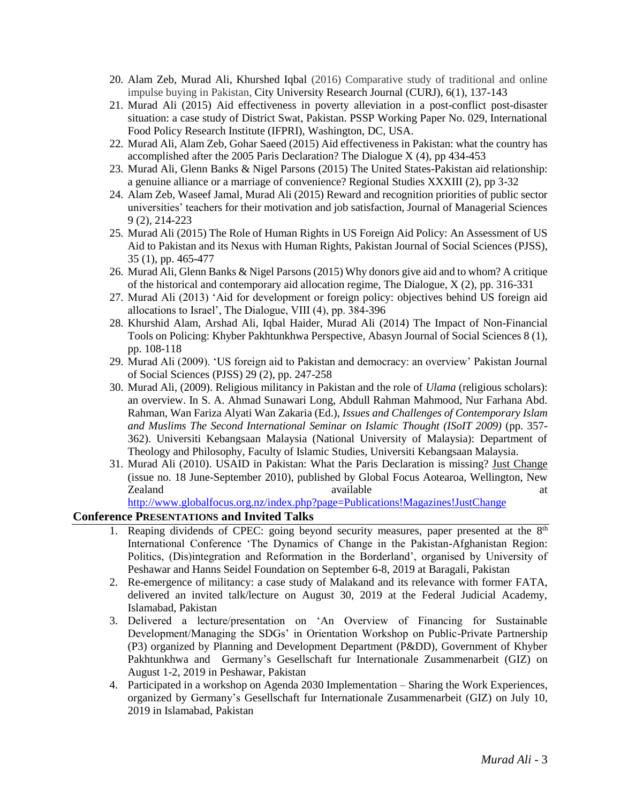- 20. Alam Zeb, Murad Ali, Khurshed Iqbal (2016) Comparative study of traditional and online impulse buying in Pakistan, City University Research Journal (CURJ), 6(1), 137-143
- 21. Murad Ali (2015) Aid effectiveness in poverty alleviation in a post-conflict post-disaster situation: a case study of District Swat, Pakistan. PSSP Working Paper No. 029, International Food Policy Research Institute (IFPRI), Washington, DC, USA.
- 22. Murad Ali, Alam Zeb, Gohar Saeed (2015) Aid effectiveness in Pakistan: what the country has accomplished after the 2005 Paris Declaration? The Dialogue X (4), pp 434-453
- 23. Murad Ali, Glenn Banks & Nigel Parsons (2015) The United States-Pakistan aid relationship: a genuine alliance or a marriage of convenience? Regional Studies XXXIII (2), pp 3-32
- 24. Alam Zeb, Waseef Jamal, Murad Ali (2015) Reward and recognition priorities of public sector universities' teachers for their motivation and job satisfaction, Journal of Managerial Sciences 9 (2), 214-223
- 25. Murad Ali (2015) The Role of Human Rights in US Foreign Aid Policy: An Assessment of US Aid to Pakistan and its Nexus with Human Rights, Pakistan Journal of Social Sciences (PJSS), 35 (1), pp. 465-477
- 26. Murad Ali, Glenn Banks & Nigel Parsons (2015) Why donors give aid and to whom? A critique of the historical and contemporary aid allocation regime, The Dialogue, X (2), pp. 316-331
- 27. Murad Ali (2013) 'Aid for development or foreign policy: objectives behind US foreign aid allocations to Israel', The Dialogue, VIII (4), pp. 384-396
- 28. Khurshid Alam, Arshad Ali, Iqbal Haider, Murad Ali (2014) The Impact of Non-Financial Tools on Policing: Khyber Pakhtunkhwa Perspective, Abasyn Journal of Social Sciences 8 (1), pp. 108-118
- 29. Murad Ali (2009). 'US foreign aid to Pakistan and democracy: an overview' Pakistan Journal of Social Sciences (PJSS) 29 (2), pp. 247-258
- 30. Murad Ali, (2009). Religious militancy in Pakistan and the role of *Ulama* (religious scholars): an overview. In S. A. Ahmad Sunawari Long, Abdull Rahman Mahmood, Nur Farhana Abd. Rahman, Wan Fariza Alyati Wan Zakaria (Ed.), *Issues and Challenges of Contemporary Islam and Muslims The Second International Seminar on Islamic Thought (ISoIT 2009)* (pp. 357- 362). Universiti Kebangsaan Malaysia (National University of Malaysia): Department of Theology and Philosophy, Faculty of Islamic Studies, Universiti Kebangsaan Malaysia.
- 31. Murad Ali (2010). USAID in Pakistan: What the Paris Declaration is missing? Just Change (issue no. 18 June-September 2010), published by Global Focus Aotearoa, Wellington, New Zealand available at a set of the set of the set of the set of the set of the set of the set of the set of the set of the set of the set of the set of the set of the set of the set of the set of the set of the set of the s

<http://www.globalfocus.org.nz/index.php?page=Publications!Magazines!JustChange>

### **Conference PRESENTATIONS and Invited Talks**

- 1. Reaping dividends of CPEC: going beyond security measures, paper presented at the  $8<sup>th</sup>$ International Conference 'The Dynamics of Change in the Pakistan-Afghanistan Region: Politics, (Dis)integration and Reformation in the Borderland', organised by University of Peshawar and Hanns Seidel Foundation on September 6-8, 2019 at Baragali, Pakistan
- 2. Re-emergence of militancy: a case study of Malakand and its relevance with former FATA, delivered an invited talk/lecture on August 30, 2019 at the Federal Judicial Academy, Islamabad, Pakistan
- 3. Delivered a lecture/presentation on 'An Overview of Financing for Sustainable Development/Managing the SDGs' in Orientation Workshop on Public-Private Partnership (P3) organized by Planning and Development Department (P&DD), Government of Khyber Pakhtunkhwa and Germany's Gesellschaft fur Internationale Zusammenarbeit (GIZ) on August 1-2, 2019 in Peshawar, Pakistan
- 4. Participated in a workshop on Agenda 2030 Implementation Sharing the Work Experiences, organized by Germany's Gesellschaft fur Internationale Zusammenarbeit (GIZ) on July 10, 2019 in Islamabad, Pakistan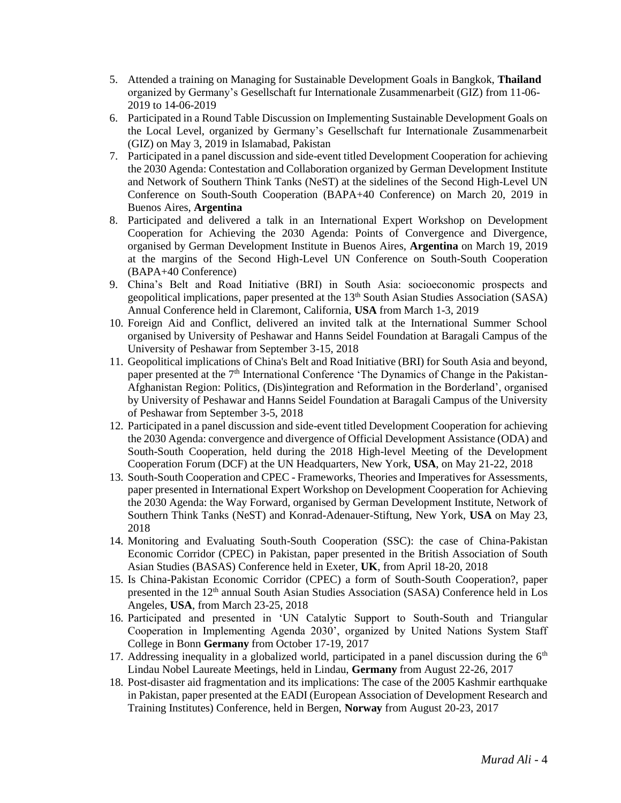- 5. Attended a training on Managing for Sustainable Development Goals in Bangkok, **Thailand** organized by Germany's Gesellschaft fur Internationale Zusammenarbeit (GIZ) from 11-06- 2019 to 14-06-2019
- 6. Participated in a Round Table Discussion on Implementing Sustainable Development Goals on the Local Level, organized by Germany's Gesellschaft fur Internationale Zusammenarbeit (GIZ) on May 3, 2019 in Islamabad, Pakistan
- 7. Participated in a panel discussion and side-event titled Development Cooperation for achieving the 2030 Agenda: Contestation and Collaboration organized by German Development Institute and Network of Southern Think Tanks (NeST) at the sidelines of the Second High-Level UN Conference on South-South Cooperation (BAPA+40 Conference) on March 20, 2019 in Buenos Aires, **Argentina**
- 8. Participated and delivered a talk in an International Expert Workshop on Development Cooperation for Achieving the 2030 Agenda: Points of Convergence and Divergence, organised by German Development Institute in Buenos Aires, **Argentina** on March 19, 2019 at the margins of the Second High-Level UN Conference on South-South Cooperation (BAPA+40 Conference)
- 9. China's Belt and Road Initiative (BRI) in South Asia: socioeconomic prospects and geopolitical implications, paper presented at the  $13<sup>th</sup>$  South Asian Studies Association (SASA) Annual Conference held in Claremont, California, **USA** from March 1-3, 2019
- 10. Foreign Aid and Conflict, delivered an invited talk at the International Summer School organised by University of Peshawar and Hanns Seidel Foundation at Baragali Campus of the University of Peshawar from September 3-15, 2018
- 11. Geopolitical implications of China's Belt and Road Initiative (BRI) for South Asia and beyond, paper presented at the 7<sup>th</sup> International Conference 'The Dynamics of Change in the Pakistan-Afghanistan Region: Politics, (Dis)integration and Reformation in the Borderland', organised by University of Peshawar and Hanns Seidel Foundation at Baragali Campus of the University of Peshawar from September 3-5, 2018
- 12. Participated in a panel discussion and side-event titled Development Cooperation for achieving the 2030 Agenda: convergence and divergence of Official Development Assistance (ODA) and South-South Cooperation, held during the 2018 High-level Meeting of the Development Cooperation Forum (DCF) at the UN Headquarters, New York, **USA**, on May 21-22, 2018
- 13. South-South Cooperation and CPEC Frameworks, Theories and Imperatives for Assessments, paper presented in International Expert Workshop on Development Cooperation for Achieving the 2030 Agenda: the Way Forward, organised by German Development Institute, Network of Southern Think Tanks (NeST) and Konrad-Adenauer-Stiftung, New York, **USA** on May 23, 2018
- 14. Monitoring and Evaluating South-South Cooperation (SSC): the case of China-Pakistan Economic Corridor (CPEC) in Pakistan, paper presented in the British Association of South Asian Studies (BASAS) Conference held in Exeter, **UK**, from April 18-20, 2018
- 15. Is China-Pakistan Economic Corridor (CPEC) a form of South-South Cooperation?, paper presented in the 12<sup>th</sup> annual South Asian Studies Association (SASA) Conference held in Los Angeles, **USA**, from March 23-25, 2018
- 16. Participated and presented in 'UN Catalytic Support to South-South and Triangular Cooperation in Implementing Agenda 2030', organized by United Nations System Staff College in Bonn **Germany** from October 17-19, 2017
- 17. Addressing inequality in a globalized world, participated in a panel discussion during the  $6<sup>th</sup>$ Lindau Nobel Laureate Meetings, held in Lindau, **Germany** from August 22-26, 2017
- 18. Post-disaster aid fragmentation and its implications: The case of the 2005 Kashmir earthquake in Pakistan, paper presented at the EADI (European Association of Development Research and Training Institutes) Conference, held in Bergen, **Norway** from August 20-23, 2017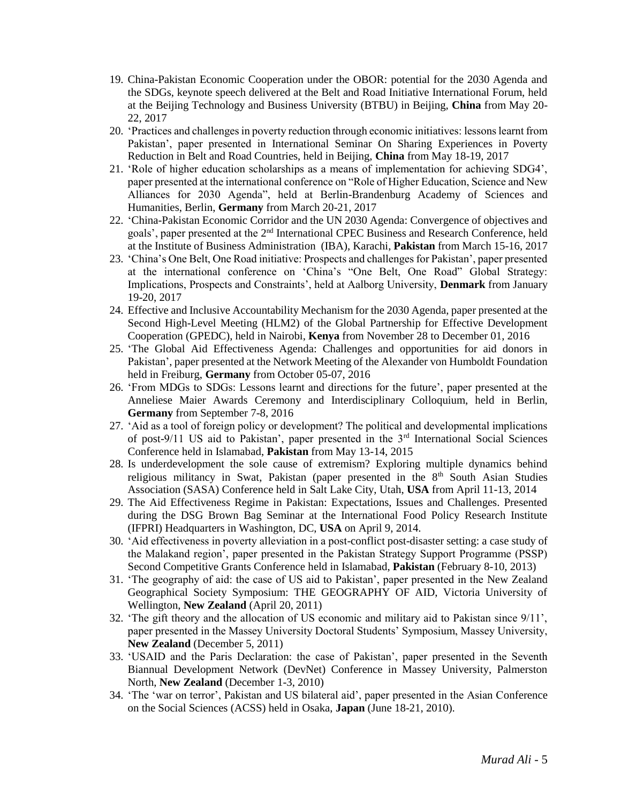- 19. China-Pakistan Economic Cooperation under the OBOR: potential for the 2030 Agenda and the SDGs, keynote speech delivered at the Belt and Road Initiative International Forum, held at the Beijing Technology and Business University (BTBU) in Beijing, **China** from May 20- 22, 2017
- 20. 'Practices and challenges in poverty reduction through economic initiatives: lessons learnt from Pakistan', paper presented in International Seminar On Sharing Experiences in Poverty Reduction in Belt and Road Countries, held in Beijing, **China** from May 18-19, 2017
- 21. 'Role of higher education scholarships as a means of implementation for achieving SDG4', paper presented at the international conference on "Role of Higher Education, Science and New Alliances for 2030 Agenda", held at Berlin-Brandenburg Academy of Sciences and Humanities, Berlin, **Germany** from March 20-21, 2017
- 22. 'China-Pakistan Economic Corridor and the UN 2030 Agenda: Convergence of objectives and goals', paper presented at the 2<sup>nd</sup> International CPEC Business and Research Conference, held at the Institute of Business Administration (IBA), Karachi, **Pakistan** from March 15-16, 2017
- 23. 'China's One Belt, One Road initiative: Prospects and challenges for Pakistan', paper presented at the international conference on 'China's "One Belt, One Road" Global Strategy: Implications, Prospects and Constraints', held at Aalborg University, **Denmark** from January 19-20, 2017
- 24. Effective and Inclusive Accountability Mechanism for the 2030 Agenda, paper presented at the Second High-Level Meeting (HLM2) of the Global Partnership for Effective Development Cooperation (GPEDC), held in Nairobi, **Kenya** from November 28 to December 01, 2016
- 25. 'The Global Aid Effectiveness Agenda: Challenges and opportunities for aid donors in Pakistan', paper presented at the Network Meeting of the Alexander von Humboldt Foundation held in Freiburg, **Germany** from October 05-07, 2016
- 26. 'From MDGs to SDGs: Lessons learnt and directions for the future', paper presented at the Anneliese Maier Awards Ceremony and Interdisciplinary Colloquium, held in Berlin, **Germany** from September 7-8, 2016
- 27. 'Aid as a tool of foreign policy or development? The political and developmental implications of post-9/11 US aid to Pakistan', paper presented in the 3rd International Social Sciences Conference held in Islamabad, **Pakistan** from May 13-14, 2015
- 28. Is underdevelopment the sole cause of extremism? Exploring multiple dynamics behind religious militancy in Swat, Pakistan (paper presented in the  $8<sup>th</sup>$  South Asian Studies Association (SASA) Conference held in Salt Lake City, Utah, **USA** from April 11-13, 2014
- 29. The Aid Effectiveness Regime in Pakistan: Expectations, Issues and Challenges. Presented during the DSG Brown Bag Seminar at the International Food Policy Research Institute (IFPRI) Headquarters in Washington, DC, **USA** on April 9, 2014.
- 30. 'Aid effectiveness in poverty alleviation in a post-conflict post-disaster setting: a case study of the Malakand region', paper presented in the Pakistan Strategy Support Programme (PSSP) Second Competitive Grants Conference held in Islamabad, **Pakistan** (February 8-10, 2013)
- 31. 'The geography of aid: the case of US aid to Pakistan', paper presented in the New Zealand Geographical Society Symposium: THE GEOGRAPHY OF AID, Victoria University of Wellington, **New Zealand** (April 20, 2011)
- 32. 'The gift theory and the allocation of US economic and military aid to Pakistan since 9/11', paper presented in the Massey University Doctoral Students' Symposium, Massey University, **New Zealand** (December 5, 2011)
- 33. 'USAID and the Paris Declaration: the case of Pakistan', paper presented in the Seventh Biannual Development Network (DevNet) Conference in Massey University, Palmerston North, **New Zealand** (December 1-3, 2010)
- 34. 'The 'war on terror', Pakistan and US bilateral aid', paper presented in the Asian Conference on the Social Sciences (ACSS) held in Osaka, **Japan** (June 18-21, 2010).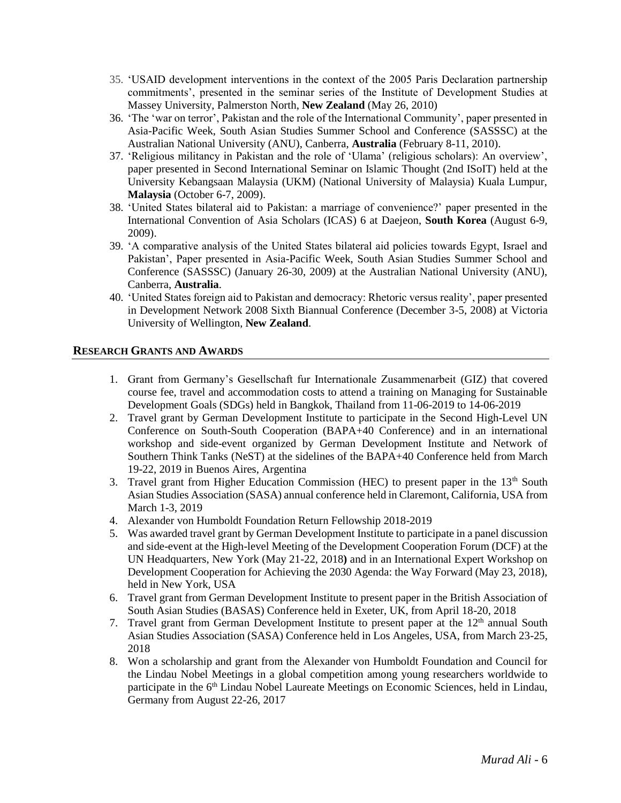- 35. 'USAID development interventions in the context of the 2005 Paris Declaration partnership commitments', presented in the seminar series of the Institute of Development Studies at Massey University, Palmerston North, **New Zealand** (May 26, 2010)
- 36. 'The 'war on terror', Pakistan and the role of the International Community', paper presented in Asia-Pacific Week, South Asian Studies Summer School and Conference (SASSSC) at the Australian National University (ANU), Canberra, **Australia** (February 8-11, 2010).
- 37. 'Religious militancy in Pakistan and the role of 'Ulama' (religious scholars): An overview', paper presented in Second International Seminar on Islamic Thought (2nd ISoIT) held at the University Kebangsaan Malaysia (UKM) (National University of Malaysia) Kuala Lumpur, **Malaysia** (October 6-7, 2009).
- 38. 'United States bilateral aid to Pakistan: a marriage of convenience?' paper presented in the International Convention of Asia Scholars (ICAS) 6 at Daejeon, **South Korea** (August 6-9, 2009).
- 39. 'A comparative analysis of the United States bilateral aid policies towards Egypt, Israel and Pakistan', Paper presented in Asia-Pacific Week, South Asian Studies Summer School and Conference (SASSSC) (January 26-30, 2009) at the Australian National University (ANU), Canberra, **Australia**.
- 40. 'United States foreign aid to Pakistan and democracy: Rhetoric versus reality', paper presented in Development Network 2008 Sixth Biannual Conference (December 3-5, 2008) at Victoria University of Wellington, **New Zealand**.

#### **RESEARCH GRANTS AND AWARDS**

- 1. Grant from Germany's Gesellschaft fur Internationale Zusammenarbeit (GIZ) that covered course fee, travel and accommodation costs to attend a training on Managing for Sustainable Development Goals (SDGs) held in Bangkok, Thailand from 11-06-2019 to 14-06-2019
- 2. Travel grant by German Development Institute to participate in the Second High-Level UN Conference on South-South Cooperation (BAPA+40 Conference) and in an international workshop and side-event organized by German Development Institute and Network of Southern Think Tanks (NeST) at the sidelines of the BAPA+40 Conference held from March 19-22, 2019 in Buenos Aires, Argentina
- 3. Travel grant from Higher Education Commission (HEC) to present paper in the  $13<sup>th</sup>$  South Asian Studies Association (SASA) annual conference held in Claremont, California, USA from March 1-3, 2019
- 4. Alexander von Humboldt Foundation Return Fellowship 2018-2019
- 5. Was awarded travel grant by German Development Institute to participate in a panel discussion and side-event at the High-level Meeting of the Development Cooperation Forum (DCF) at the UN Headquarters, New York (May 21-22, 2018**)** and in an International Expert Workshop on Development Cooperation for Achieving the 2030 Agenda: the Way Forward (May 23, 2018), held in New York, USA
- 6. Travel grant from German Development Institute to present paper in the British Association of South Asian Studies (BASAS) Conference held in Exeter, UK, from April 18-20, 2018
- 7. Travel grant from German Development Institute to present paper at the  $12<sup>th</sup>$  annual South Asian Studies Association (SASA) Conference held in Los Angeles, USA, from March 23-25, 2018
- 8. Won a scholarship and grant from the Alexander von Humboldt Foundation and Council for the Lindau Nobel Meetings in a global competition among young researchers worldwide to participate in the 6th Lindau Nobel Laureate Meetings on Economic Sciences, held in Lindau, Germany from August 22-26, 2017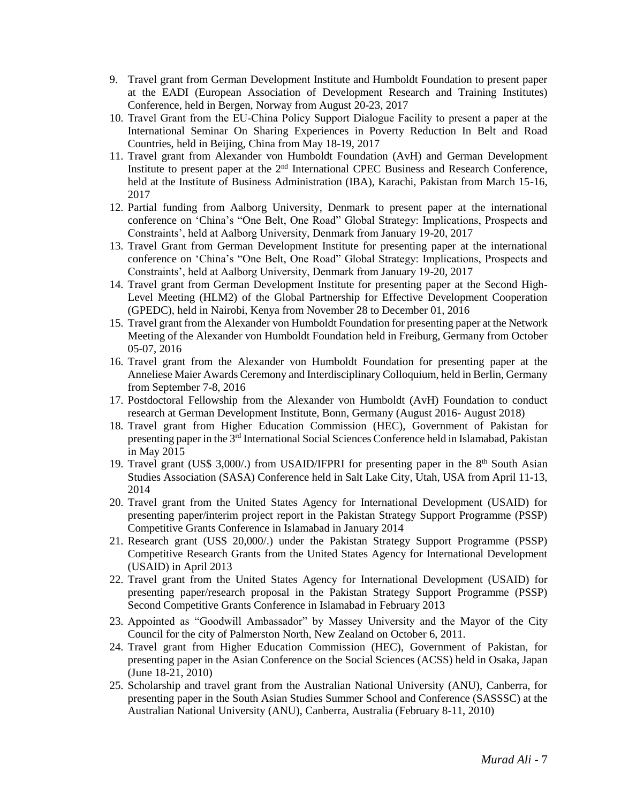- 9. Travel grant from German Development Institute and Humboldt Foundation to present paper at the EADI (European Association of Development Research and Training Institutes) Conference, held in Bergen, Norway from August 20-23, 2017
- 10. Travel Grant from the EU-China Policy Support Dialogue Facility to present a paper at the International Seminar On Sharing Experiences in Poverty Reduction In Belt and Road Countries, held in Beijing, China from May 18-19, 2017
- 11. Travel grant from Alexander von Humboldt Foundation (AvH) and German Development Institute to present paper at the  $2<sup>nd</sup>$  International CPEC Business and Research Conference, held at the Institute of Business Administration (IBA), Karachi, Pakistan from March 15-16, 2017
- 12. Partial funding from Aalborg University, Denmark to present paper at the international conference on 'China's "One Belt, One Road" Global Strategy: Implications, Prospects and Constraints', held at Aalborg University, Denmark from January 19-20, 2017
- 13. Travel Grant from German Development Institute for presenting paper at the international conference on 'China's "One Belt, One Road" Global Strategy: Implications, Prospects and Constraints', held at Aalborg University, Denmark from January 19-20, 2017
- 14. Travel grant from German Development Institute for presenting paper at the Second High-Level Meeting (HLM2) of the Global Partnership for Effective Development Cooperation (GPEDC), held in Nairobi, Kenya from November 28 to December 01, 2016
- 15. Travel grant from the Alexander von Humboldt Foundation for presenting paper at the Network Meeting of the Alexander von Humboldt Foundation held in Freiburg, Germany from October 05-07, 2016
- 16. Travel grant from the Alexander von Humboldt Foundation for presenting paper at the Anneliese Maier Awards Ceremony and Interdisciplinary Colloquium, held in Berlin, Germany from September 7-8, 2016
- 17. Postdoctoral Fellowship from the Alexander von Humboldt (AvH) Foundation to conduct research at German Development Institute, Bonn, Germany (August 2016- August 2018)
- 18. Travel grant from Higher Education Commission (HEC), Government of Pakistan for presenting paper in the 3rd International Social Sciences Conference held in Islamabad, Pakistan in May 2015
- 19. Travel grant (US\$ 3,000/.) from USAID/IFPRI for presenting paper in the  $8<sup>th</sup>$  South Asian Studies Association (SASA) Conference held in Salt Lake City, Utah, USA from April 11-13, 2014
- 20. Travel grant from the United States Agency for International Development (USAID) for presenting paper/interim project report in the Pakistan Strategy Support Programme (PSSP) Competitive Grants Conference in Islamabad in January 2014
- 21. Research grant (US\$ 20,000/.) under the Pakistan Strategy Support Programme (PSSP) Competitive Research Grants from the United States Agency for International Development (USAID) in April 2013
- 22. Travel grant from the United States Agency for International Development (USAID) for presenting paper/research proposal in the Pakistan Strategy Support Programme (PSSP) Second Competitive Grants Conference in Islamabad in February 2013
- 23. Appointed as "Goodwill Ambassador" by Massey University and the Mayor of the City Council for the city of Palmerston North, New Zealand on October 6, 2011.
- 24. Travel grant from Higher Education Commission (HEC), Government of Pakistan, for presenting paper in the Asian Conference on the Social Sciences (ACSS) held in Osaka, Japan (June 18-21, 2010)
- 25. Scholarship and travel grant from the Australian National University (ANU), Canberra, for presenting paper in the South Asian Studies Summer School and Conference (SASSSC) at the Australian National University (ANU), Canberra, Australia (February 8-11, 2010)